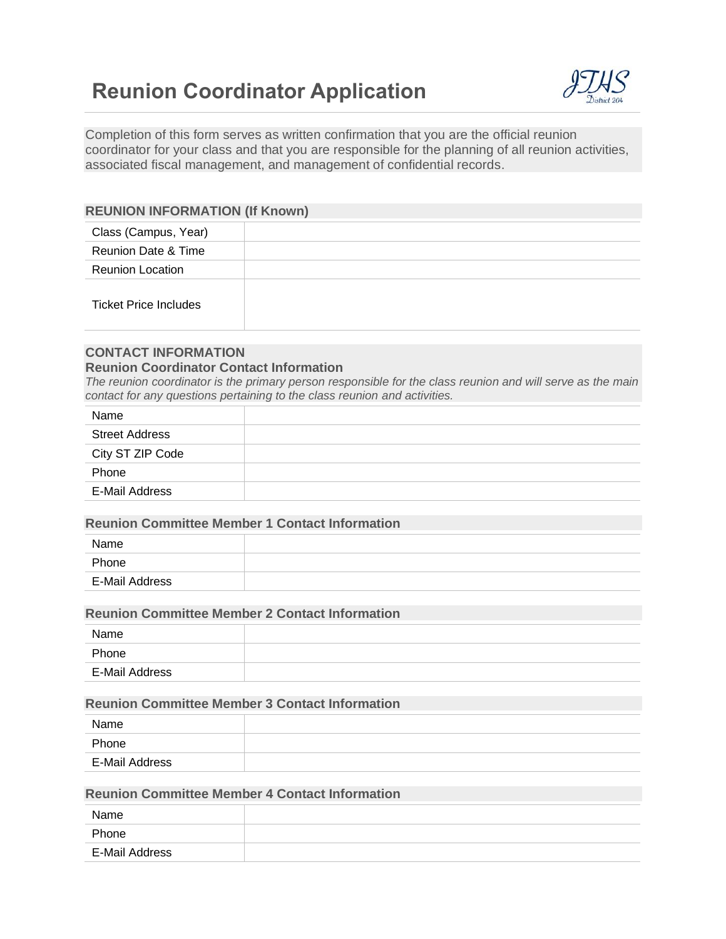# **Reunion Coordinator Application**



Completion of this form serves as written confirmation that you are the official reunion coordinator for your class and that you are responsible for the planning of all reunion activities, associated fiscal management, and management of confidential records.

# **REUNION INFORMATION (If Known)**

| Class (Campus, Year)         |  |
|------------------------------|--|
| Reunion Date & Time          |  |
| <b>Reunion Location</b>      |  |
| <b>Ticket Price Includes</b> |  |

# **CONTACT INFORMATION**

# **Reunion Coordinator Contact Information**

*The reunion coordinator is the primary person responsible for the class reunion and will serve as the main contact for any questions pertaining to the class reunion and activities.*

| Name                  |  |
|-----------------------|--|
| <b>Street Address</b> |  |
| City ST ZIP Code      |  |
| Phone                 |  |
| E-Mail Address        |  |

#### **Reunion Committee Member 1 Contact Information**

| Name           |  |
|----------------|--|
| Phone          |  |
| E-Mail Address |  |

# **Reunion Committee Member 2 Contact Information**

| Name           |  |
|----------------|--|
| Phone          |  |
| E-Mail Address |  |

# **Reunion Committee Member 3 Contact Information**

| Name           |  |
|----------------|--|
| Phone          |  |
| E-Mail Address |  |

# **Reunion Committee Member 4 Contact Information**

| Name           |  |
|----------------|--|
| Phone          |  |
| E-Mail Address |  |